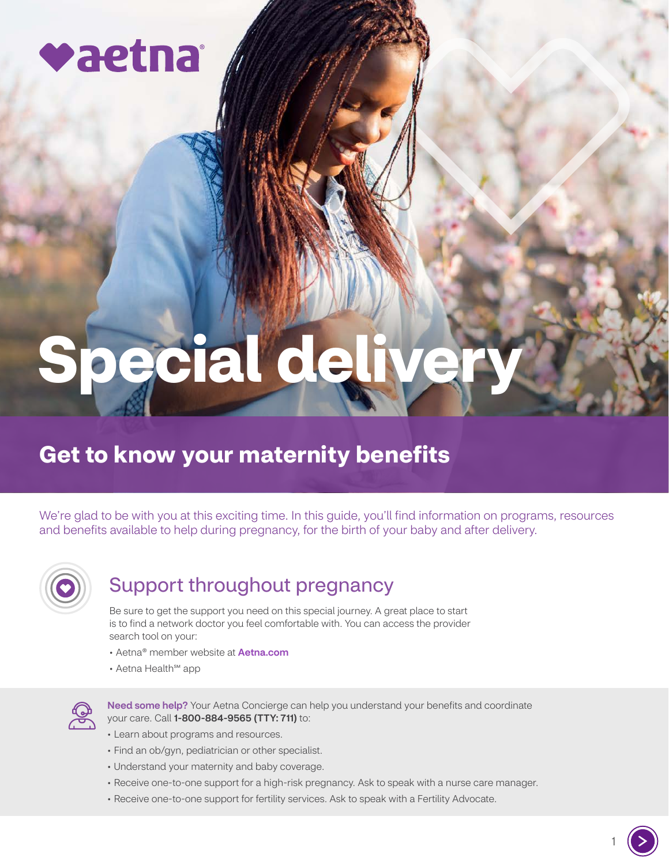

# **Special deli**

# **Get to know your maternity benefits**

We're glad to be with you at this exciting time. In this guide, you'll find information on programs, resources and benefits available to help during pregnancy, for the birth of your baby and after delivery.



# Support throughout pregnancy

Be sure to get the support you need on this special journey. A great place to start is to find a network doctor you feel comfortable with. You can access the provider search tool on your:

- Aetna® member website at **[Aetna.com](http://Aetna.com)**
- Aetna Health℠ app



Need some help? Your Aetna Concierge can help you understand your benefits and coordinate your care. Call 1-800-884-9565 (TTY: 711) to:

- Learn about programs and resources.
- Find an ob/gyn, pediatrician or other specialist.
- Understand your maternity and baby coverage.
- Receive one-to-one support for a high-risk pregnancy. Ask to speak with a nurse care manager.
- Receive one-to-one support for fertility services. Ask to speak with a Fertility Advocate.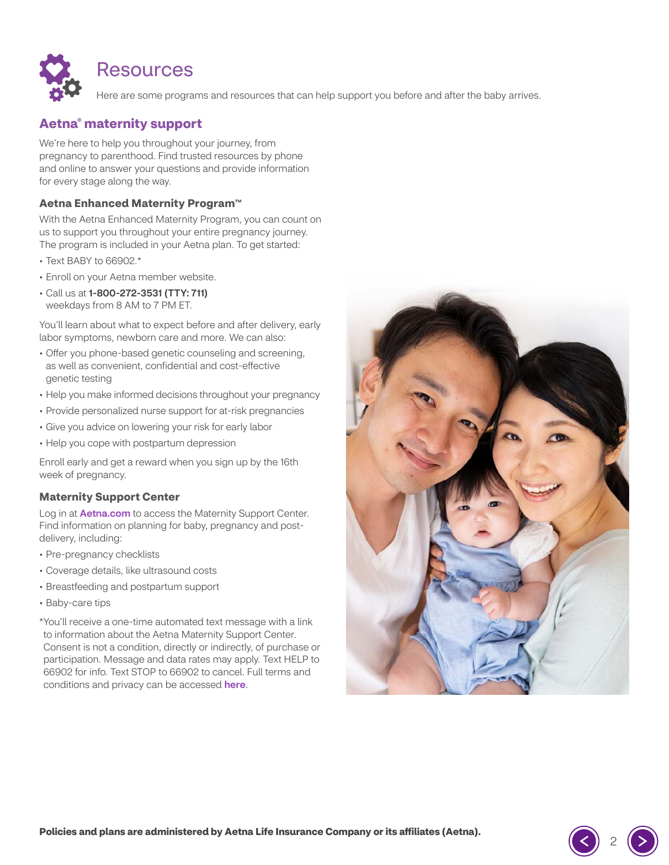

# Resources

Here are some programs and resources that can help support you before and after the baby arrives.

# **Aetna® maternity support**

We're here to help you throughout your journey, from pregnancy to parenthood. Find trusted resources by phone and online to answer your questions and provide information for every stage along the way.

#### **Aetna Enhanced Maternity Program™**

With the Aetna Enhanced Maternity Program, you can count on us to support you throughout your entire pregnancy journey. The program is included in your Aetna plan. To get started:

- Text BABY to 66902.\*
- Enroll on your Aetna member website.
- Call us at 1-800-272-3531 (TTY: 711) weekdays from 8 AM to 7 PM ET.

You'll learn about what to expect before and after delivery, early labor symptoms, newborn care and more. We can also:

- Offer you phone-based genetic counseling and screening, as well as convenient, confidential and cost-effective genetic testing
- Help you make informed decisions throughout your pregnancy
- Provide personalized nurse support for at-risk pregnancies
- Give you advice on lowering your risk for early labor
- Help you cope with postpartum depression

Enroll early and get a reward when you sign up by the 16th week of pregnancy.

#### **Maternity Support Center**

Log in at **[Aetna.com](http://Aetna.com)** to access the Maternity Support Center. Find information on planning for baby, pregnancy and postdelivery, including:

- Pre-pregnancy checklists
- Coverage details, like ultrasound costs
- Breastfeeding and postpartum support
- Baby-care tips

\* You'll receive a one-time automated text message with a link to information about the Aetna Maternity Support Center. Consent is not a condition, directly or indirectly, of purchase or participation. Message and data rates may apply. Text HELP to 66902 for info. Text STOP to 66902 to cancel. Full terms and conditions and privacy can be accessed [here](https://www.aetna.com/legal-notices/privacy.html).

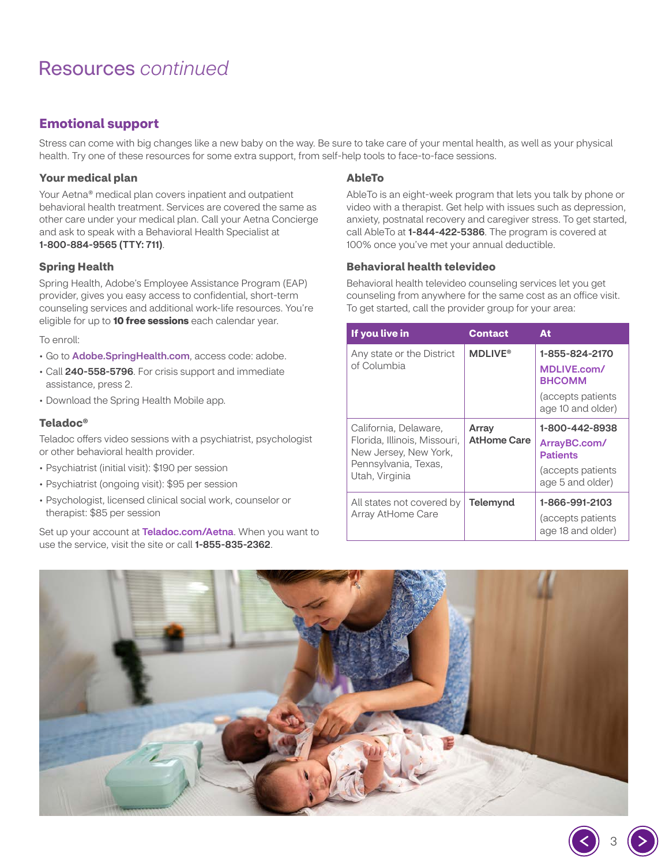# <span id="page-2-0"></span>Resources *continued*

# **Emotional support**

Stress can come with big changes like a new baby on the way. Be sure to take care of your mental health, as well as your physical health. Try one of these resources for some extra support, from self-help tools to face-to-face sessions.

## **Your medical plan**

Your Aetna® medical plan covers inpatient and outpatient behavioral health treatment. Services are covered the same as other care under your medical plan. Call your Aetna Concierge and ask to speak with a Behavioral Health Specialist at 1-800-884-9565 (TTY: 711).

## **Spring Health**

Spring Health, Adobe's Employee Assistance Program (EAP) provider, gives you easy access to confidential, short-term counseling services and additional work-life resources. You're eligible for up to **10 free sessions** each calendar year.

To enroll:

- Go to [Adobe.SpringHealth.com](http://Adobe.SpringHealth.com), access code: adobe.
- Call 240-558-5796. For crisis support and immediate assistance, press 2.
- Download the Spring Health Mobile app.

## **Teladoc®**

Teladoc offers video sessions with a psychiatrist, psychologist or other behavioral health provider.

- Psychiatrist (initial visit): \$190 per session
- Psychiatrist (ongoing visit): \$95 per session
- Psychologist, licensed clinical social work, counselor or therapist: \$85 per session

Set up your account at [Teladoc.com/Aetna](http://Teladoc.com/Aetna). When you want to use the service, visit the site or call 1-855-835-2362.

#### **AbleTo**

AbleTo is an eight-week program that lets you talk by phone or video with a therapist. Get help with issues such as depression, anxiety, postnatal recovery and caregiver stress. To get started, call AbleTo at 1-844-422-5386. The program is covered at 100% once you've met your annual deductible.

## **Behavioral health televideo**

Behavioral health televideo counseling services let you get counseling from anywhere for the same cost as an office visit. To get started, call the provider group for your area:

| If you live in                                                                                                           | <b>Contact</b>              | At                                                                                        |
|--------------------------------------------------------------------------------------------------------------------------|-----------------------------|-------------------------------------------------------------------------------------------|
| Any state or the District<br>of Columbia                                                                                 | <b>MDLIVE®</b>              | 1-855-824-2170<br>MDLIVE.com/<br><b>BHCOMM</b><br>(accepts patients)<br>age 10 and older) |
| California, Delaware,<br>Florida, Illinois, Missouri,<br>New Jersey, New York,<br>Pennsylvania, Texas,<br>Utah, Virginia | Array<br><b>AtHome Care</b> | 1-800-442-8938<br>ArrayBC.com/<br>Patients<br>(accepts patients<br>age 5 and older)       |
| All states not covered by<br>Array AtHome Care                                                                           | Telemynd                    | 1-866-991-2103<br>(accepts patients<br>age 18 and older)                                  |

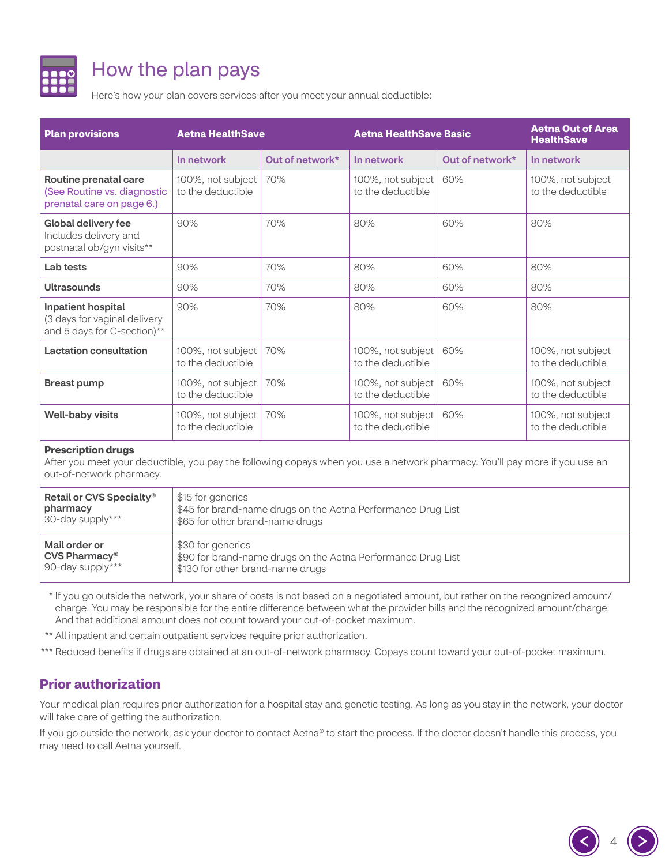

# How the plan pays

Here's how your plan covers services after you meet your annual deductible:

| <b>Plan provisions</b>                                                                   | <b>Aetna HealthSave</b>                |                 | <b>Aetna HealthSave Basic</b>          |                 | <b>Aetna Out of Area</b><br><b>HealthSave</b> |
|------------------------------------------------------------------------------------------|----------------------------------------|-----------------|----------------------------------------|-----------------|-----------------------------------------------|
|                                                                                          | In network                             | Out of network* | In network                             | Out of network* | In network                                    |
| Routine prenatal care<br>(See Routine vs. diagnostic<br>prenatal care on page 6.)        | 100%, not subject<br>to the deductible | 70%             | 100%, not subject<br>to the deductible | 60%             | 100%, not subject<br>to the deductible        |
| Global delivery fee<br>Includes delivery and<br>postnatal ob/gyn visits**                | 90%                                    | 70%             | 80%                                    | 60%             | 80%                                           |
| Lab tests                                                                                | 90%                                    | 70%             | 80%                                    | 60%             | 80%                                           |
| <b>Ultrasounds</b>                                                                       | 90%                                    | 70%             | 80%                                    | 60%             | 80%                                           |
| <b>Inpatient hospital</b><br>(3 days for vaginal delivery<br>and 5 days for C-section)** | 90%                                    | 70%             | 80%                                    | 60%             | 80%                                           |
| Lactation consultation                                                                   | 100%, not subject<br>to the deductible | 70%             | 100%, not subject<br>to the deductible | 60%             | 100%, not subject<br>to the deductible        |
| <b>Breast pump</b>                                                                       | 100%, not subject<br>to the deductible | 70%             | 100%, not subject<br>to the deductible | 60%             | 100%, not subject<br>to the deductible        |
| <b>Well-baby visits</b>                                                                  | 100%, not subject<br>to the deductible | 70%             | 100%, not subject<br>to the deductible | 60%             | 100%, not subject<br>to the deductible        |

#### **Prescription drugs**

After you meet your deductible, you pay the following copays when you use a network pharmacy. You'll pay more if you use an out-of-network pharmacy.

| Retail or CVS Specialty <sup>®</sup> | \$15 for generics                                            |
|--------------------------------------|--------------------------------------------------------------|
| pharmacy                             | \$45 for brand-name drugs on the Aetna Performance Drug List |
| 30-day supply***                     | \$65 for other brand-name drugs                              |
| Mail order or                        | \$30 for generics                                            |
| $CVS$ Pharmacy <sup>®</sup>          | \$90 for brand-name drugs on the Aetna Performance Drug List |
| 90-day supply***                     | \$130 for other brand-name drugs                             |

\* If you go outside the network, your share of costs is not based on a negotiated amount, but rather on the recognized amount/ charge. You may be responsible for the entire difference between what the provider bills and the recognized amount/charge. And that additional amount does not count toward your out-of-pocket maximum.

\*\* All inpatient and certain outpatient services require prior authorization.

\*\*\* Reduced benefits if drugs are obtained at an out-of-network pharmacy. Copays count toward your out-of-pocket maximum.

# **Prior authorization**

Your medical plan requires prior authorization for a hospital stay and genetic testing. As long as you stay in the network, your doctor will take care of getting the authorization.

If you go outside the network, ask your doctor to contact Aetna® to start the process. If the doctor doesn't handle this process, you may need to call Aetna yourself.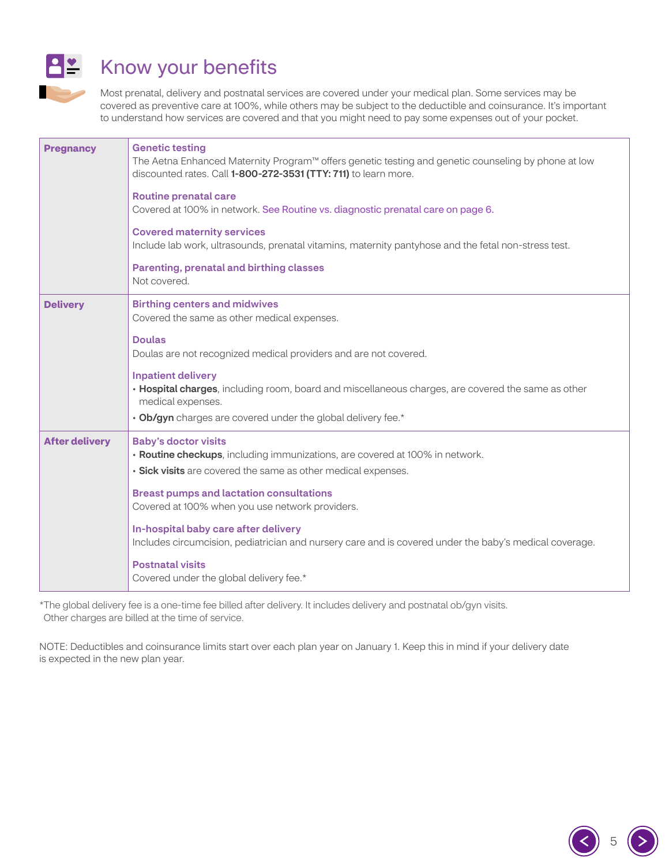

# Know your benefits

Most prenatal, delivery and postnatal services are covered under your medical plan. Some services may be covered as preventive care at 100%, while others may be subject to the deductible and coinsurance. It's important to understand how services are covered and that you might need to pay some expenses out of your pocket.

| <b>Pregnancy</b>      | <b>Genetic testing</b><br>The Aetna Enhanced Maternity Program™ offers genetic testing and genetic counseling by phone at low<br>discounted rates. Call 1-800-272-3531 (TTY: 711) to learn more.<br><b>Routine prenatal care</b><br>Covered at 100% in network. See Routine vs. diagnostic prenatal care on page 6.<br><b>Covered maternity services</b><br>Include lab work, ultrasounds, prenatal vitamins, maternity pantyhose and the fetal non-stress test.<br>Parenting, prenatal and birthing classes<br>Not covered. |
|-----------------------|------------------------------------------------------------------------------------------------------------------------------------------------------------------------------------------------------------------------------------------------------------------------------------------------------------------------------------------------------------------------------------------------------------------------------------------------------------------------------------------------------------------------------|
| <b>Delivery</b>       | <b>Birthing centers and midwives</b><br>Covered the same as other medical expenses.<br><b>Doulas</b><br>Doulas are not recognized medical providers and are not covered.                                                                                                                                                                                                                                                                                                                                                     |
|                       | <b>Inpatient delivery</b><br>. Hospital charges, including room, board and miscellaneous charges, are covered the same as other<br>medical expenses.<br>. Ob/gyn charges are covered under the global delivery fee.*                                                                                                                                                                                                                                                                                                         |
| <b>After delivery</b> | <b>Baby's doctor visits</b><br>• Routine checkups, including immunizations, are covered at 100% in network.<br>· Sick visits are covered the same as other medical expenses.<br><b>Breast pumps and lactation consultations</b><br>Covered at 100% when you use network providers.<br>In-hospital baby care after delivery<br>Includes circumcision, pediatrician and nursery care and is covered under the baby's medical coverage.<br><b>Postnatal visits</b><br>Covered under the global delivery fee.*                   |

\*The global delivery fee is a one-time fee billed after delivery. It includes delivery and postnatal ob/gyn visits. Other charges are billed at the time of service.

NOTE: Deductibles and coinsurance limits start over each plan year on January 1. Keep this in mind if your delivery date is expected in the new plan year.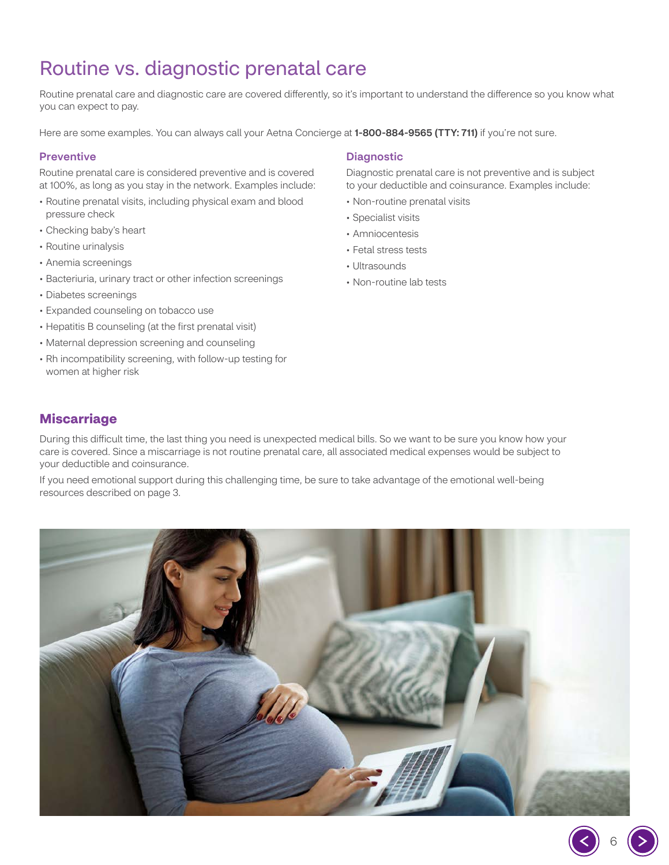# <span id="page-5-0"></span>Routine vs. diagnostic prenatal care

Routine prenatal care and diagnostic care are covered differently, so it's important to understand the difference so you know what you can expect to pay.

Here are some examples. You can always call your Aetna Concierge at 1-800-884-9565 (TTY: 711) if you're not sure.

#### **Preventive**

Routine prenatal care is considered preventive and is covered at 100%, as long as you stay in the network. Examples include:

- Routine prenatal visits, including physical exam and blood pressure check
- Checking baby's heart
- Routine urinalysis
- Anemia screenings
- Bacteriuria, urinary tract or other infection screenings
- Diabetes screenings
- Expanded counseling on tobacco use
- Hepatitis B counseling (at the first prenatal visit)
- Maternal depression screening and counseling
- Rh incompatibility screening, with follow-up testing for women at higher risk

#### Diagnostic

Diagnostic prenatal care is not preventive and is subject to your deductible and coinsurance. Examples include:

- Non-routine prenatal visits
- Specialist visits
- Amniocentesis
- Fetal stress tests
- Ultrasounds
- Non-routine lab tests

## **Miscarriage**

During this difficult time, the last thing you need is unexpected medical bills. So we want to be sure you know how your care is covered. Since a miscarriage is not routine prenatal care, all associated medical expenses would be subject to your deductible and coinsurance.

If you need emotional support during this challenging time, be sure to take advantage of the emotional well-being resources described on page [3.](#page-2-0)

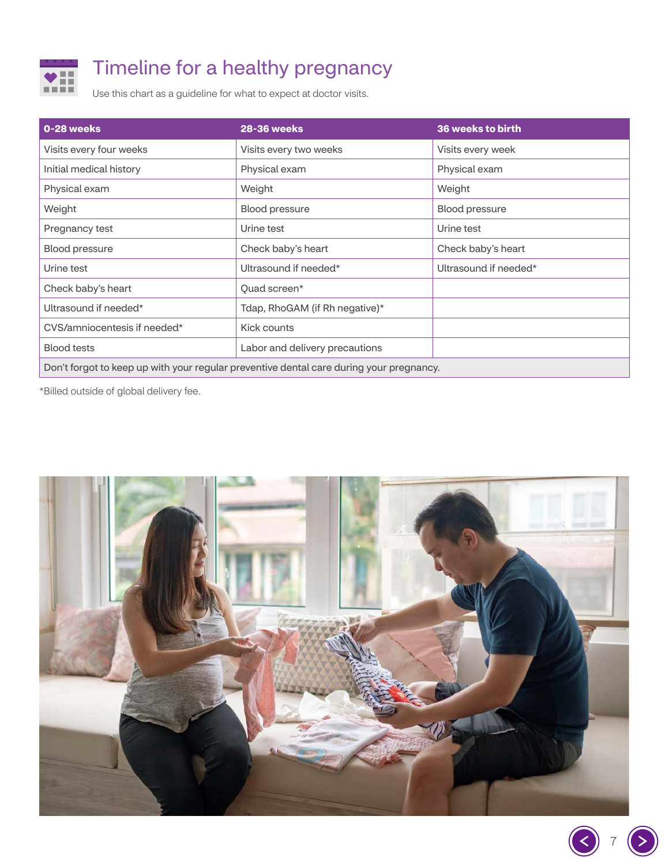

# Timeline for a healthy pregnancy

Use this chart as a guideline for what to expect at doctor visits.

| 0-28 weeks                                                                              | <b>28-36 weeks</b>             | 36 weeks to birth     |  |  |
|-----------------------------------------------------------------------------------------|--------------------------------|-----------------------|--|--|
| Visits every four weeks                                                                 | Visits every two weeks         | Visits every week     |  |  |
| Initial medical history                                                                 | Physical exam                  | Physical exam         |  |  |
| Physical exam                                                                           | Weight                         | Weight                |  |  |
| Weight                                                                                  | <b>Blood pressure</b>          | <b>Blood pressure</b> |  |  |
| Pregnancy test                                                                          | Urine test                     | Urine test            |  |  |
| <b>Blood pressure</b>                                                                   | Check baby's heart             | Check baby's heart    |  |  |
| Urine test                                                                              | Ultrasound if needed*          | Ultrasound if needed* |  |  |
| Check baby's heart                                                                      | Quad screen*                   |                       |  |  |
| Ultrasound if needed*                                                                   | Tdap, RhoGAM (if Rh negative)* |                       |  |  |
| CVS/amniocentesis if needed*                                                            | Kick counts                    |                       |  |  |
| <b>Blood tests</b>                                                                      | Labor and delivery precautions |                       |  |  |
| Don't forgot to keep up with your regular preventive dental care during your pregnancy. |                                |                       |  |  |

\*Billed outside of global delivery fee.



S 7

 $(>$